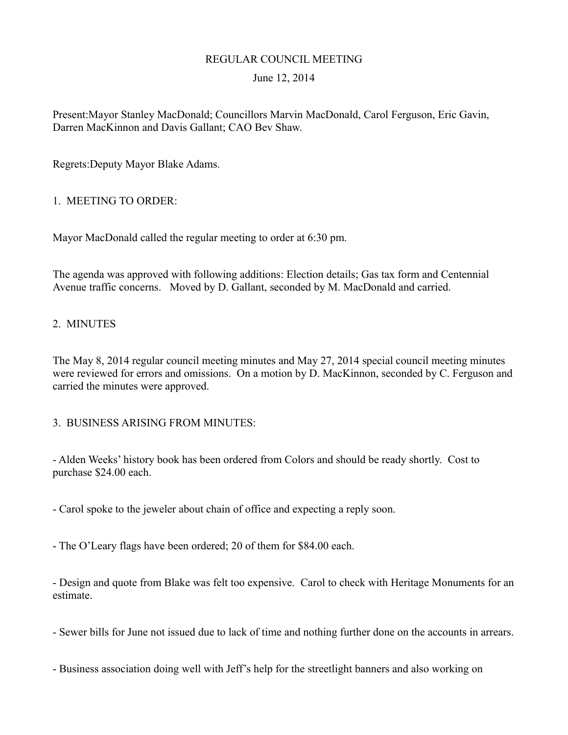# REGULAR COUNCIL MEETING

## June 12, 2014

Present:Mayor Stanley MacDonald; Councillors Marvin MacDonald, Carol Ferguson, Eric Gavin, Darren MacKinnon and Davis Gallant; CAO Bev Shaw.

Regrets:Deputy Mayor Blake Adams.

#### 1. MEETING TO ORDER:

Mayor MacDonald called the regular meeting to order at 6:30 pm.

The agenda was approved with following additions: Election details; Gas tax form and Centennial Avenue traffic concerns. Moved by D. Gallant, seconded by M. MacDonald and carried.

#### 2. MINUTES

The May 8, 2014 regular council meeting minutes and May 27, 2014 special council meeting minutes were reviewed for errors and omissions. On a motion by D. MacKinnon, seconded by C. Ferguson and carried the minutes were approved.

#### 3. BUSINESS ARISING FROM MINUTES:

- Alden Weeks' history book has been ordered from Colors and should be ready shortly. Cost to purchase \$24.00 each.

- Carol spoke to the jeweler about chain of office and expecting a reply soon.

- The O'Leary flags have been ordered; 20 of them for \$84.00 each.

- Design and quote from Blake was felt too expensive. Carol to check with Heritage Monuments for an estimate.

- Sewer bills for June not issued due to lack of time and nothing further done on the accounts in arrears.

- Business association doing well with Jeff's help for the streetlight banners and also working on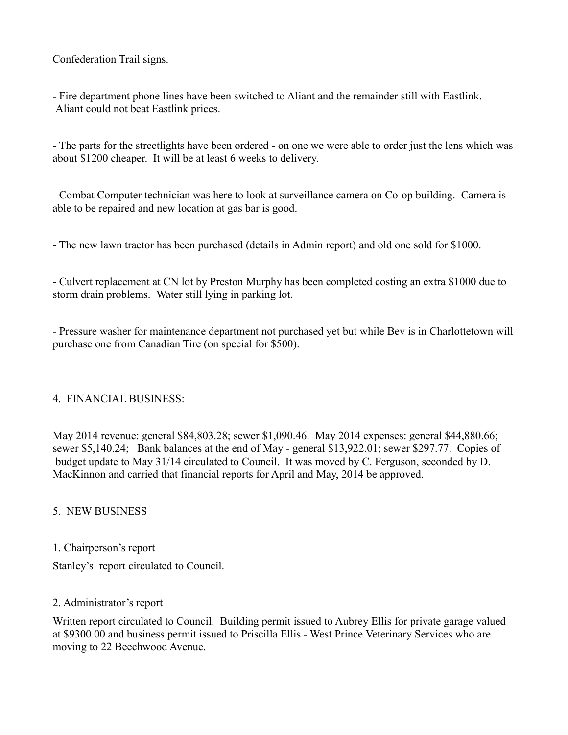Confederation Trail signs.

- Fire department phone lines have been switched to Aliant and the remainder still with Eastlink. Aliant could not beat Eastlink prices.

- The parts for the streetlights have been ordered - on one we were able to order just the lens which was about \$1200 cheaper. It will be at least 6 weeks to delivery.

- Combat Computer technician was here to look at surveillance camera on Co-op building. Camera is able to be repaired and new location at gas bar is good.

- The new lawn tractor has been purchased (details in Admin report) and old one sold for \$1000.

- Culvert replacement at CN lot by Preston Murphy has been completed costing an extra \$1000 due to storm drain problems. Water still lying in parking lot.

- Pressure washer for maintenance department not purchased yet but while Bev is in Charlottetown will purchase one from Canadian Tire (on special for \$500).

#### 4. FINANCIAL BUSINESS:

May 2014 revenue: general \$84,803.28; sewer \$1,090.46. May 2014 expenses: general \$44,880.66; sewer \$5,140.24; Bank balances at the end of May - general \$13,922.01; sewer \$297.77. Copies of budget update to May 31/14 circulated to Council. It was moved by C. Ferguson, seconded by D. MacKinnon and carried that financial reports for April and May, 2014 be approved.

5. NEW BUSINESS

1. Chairperson's report

Stanley's report circulated to Council.

#### 2. Administrator's report

Written report circulated to Council. Building permit issued to Aubrey Ellis for private garage valued at \$9300.00 and business permit issued to Priscilla Ellis - West Prince Veterinary Services who are moving to 22 Beechwood Avenue.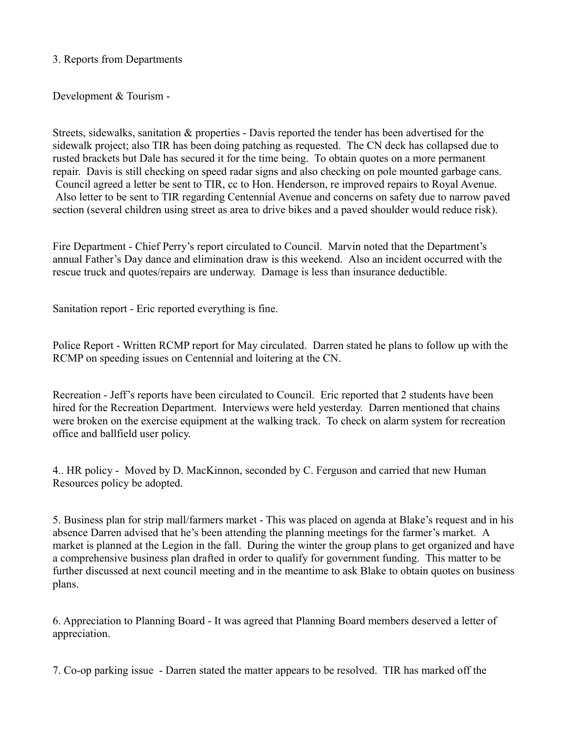3. Reports from Departments

Development & Tourism -

Streets, sidewalks, sanitation & properties - Davis reported the tender has been advertised for the sidewalk project; also TIR has been doing patching as requested. The CN deck has collapsed due to rusted brackets but Dale has secured it for the time being. To obtain quotes on a more permanent repair. Davis is still checking on speed radar signs and also checking on pole mounted garbage cans. Council agreed a letter be sent to TIR, cc to Hon. Henderson, re improved repairs to Royal Avenue. Also letter to be sent to TIR regarding Centennial Avenue and concerns on safety due to narrow paved section (several children using street as area to drive bikes and a paved shoulder would reduce risk).

Fire Department - Chief Perry's report circulated to Council. Marvin noted that the Department's annual Father's Day dance and elimination draw is this weekend. Also an incident occurred with the rescue truck and quotes/repairs are underway. Damage is less than insurance deductible.

Sanitation report - Eric reported everything is fine.

Police Report - Written RCMP report for May circulated. Darren stated he plans to follow up with the RCMP on speeding issues on Centennial and loitering at the CN.

Recreation - Jeff's reports have been circulated to Council. Eric reported that 2 students have been hired for the Recreation Department. Interviews were held yesterday. Darren mentioned that chains were broken on the exercise equipment at the walking track. To check on alarm system for recreation office and ballfield user policy.

4.. HR policy - Moved by D. MacKinnon, seconded by C. Ferguson and carried that new Human Resources policy be adopted.

5. Business plan for strip mall/farmers market - This was placed on agenda at Blake's request and in his absence Darren advised that he's been attending the planning meetings for the farmer's market. A market is planned at the Legion in the fall. During the winter the group plans to get organized and have a comprehensive business plan drafted in order to qualify for government funding. This matter to be further discussed at next council meeting and in the meantime to ask Blake to obtain quotes on business plans.

6. Appreciation to Planning Board - It was agreed that Planning Board members deserved a letter of appreciation.

7. Co-op parking issue - Darren stated the matter appears to be resolved. TIR has marked off the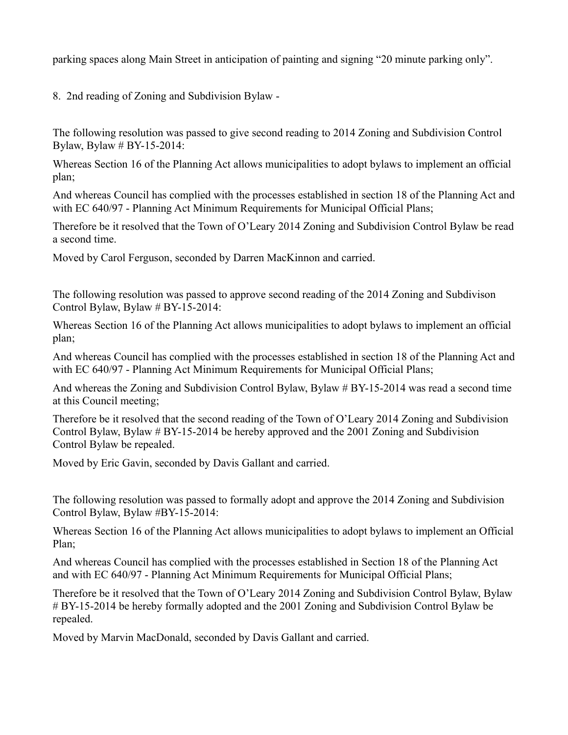parking spaces along Main Street in anticipation of painting and signing "20 minute parking only".

8. 2nd reading of Zoning and Subdivision Bylaw -

The following resolution was passed to give second reading to 2014 Zoning and Subdivision Control Bylaw, Bylaw # BY-15-2014:

Whereas Section 16 of the Planning Act allows municipalities to adopt bylaws to implement an official plan;

And whereas Council has complied with the processes established in section 18 of the Planning Act and with EC 640/97 - Planning Act Minimum Requirements for Municipal Official Plans;

Therefore be it resolved that the Town of O'Leary 2014 Zoning and Subdivision Control Bylaw be read a second time.

Moved by Carol Ferguson, seconded by Darren MacKinnon and carried.

The following resolution was passed to approve second reading of the 2014 Zoning and Subdivison Control Bylaw, Bylaw # BY-15-2014:

Whereas Section 16 of the Planning Act allows municipalities to adopt bylaws to implement an official plan;

And whereas Council has complied with the processes established in section 18 of the Planning Act and with EC 640/97 - Planning Act Minimum Requirements for Municipal Official Plans;

And whereas the Zoning and Subdivision Control Bylaw, Bylaw # BY-15-2014 was read a second time at this Council meeting;

Therefore be it resolved that the second reading of the Town of O'Leary 2014 Zoning and Subdivision Control Bylaw, Bylaw # BY-15-2014 be hereby approved and the 2001 Zoning and Subdivision Control Bylaw be repealed.

Moved by Eric Gavin, seconded by Davis Gallant and carried.

The following resolution was passed to formally adopt and approve the 2014 Zoning and Subdivision Control Bylaw, Bylaw #BY-15-2014:

Whereas Section 16 of the Planning Act allows municipalities to adopt bylaws to implement an Official Plan;

And whereas Council has complied with the processes established in Section 18 of the Planning Act and with EC 640/97 - Planning Act Minimum Requirements for Municipal Official Plans;

Therefore be it resolved that the Town of O'Leary 2014 Zoning and Subdivision Control Bylaw, Bylaw # BY-15-2014 be hereby formally adopted and the 2001 Zoning and Subdivision Control Bylaw be repealed.

Moved by Marvin MacDonald, seconded by Davis Gallant and carried.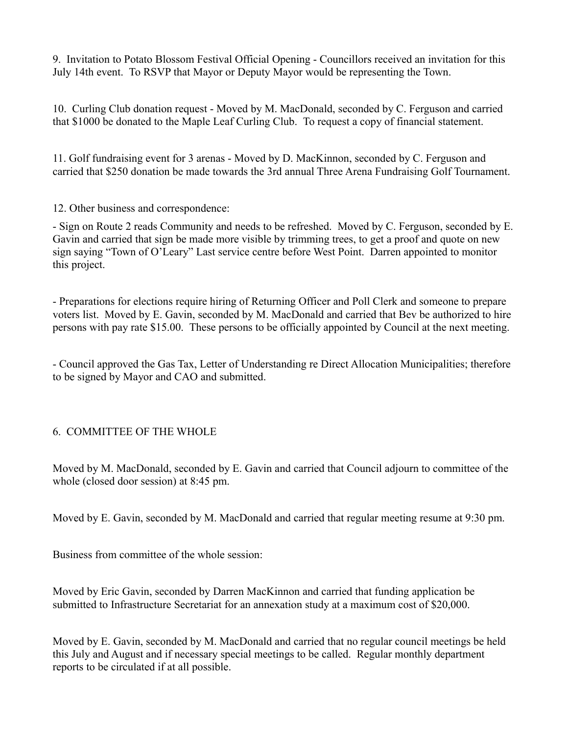9. Invitation to Potato Blossom Festival Official Opening - Councillors received an invitation for this July 14th event. To RSVP that Mayor or Deputy Mayor would be representing the Town.

10. Curling Club donation request - Moved by M. MacDonald, seconded by C. Ferguson and carried that \$1000 be donated to the Maple Leaf Curling Club. To request a copy of financial statement.

11. Golf fundraising event for 3 arenas - Moved by D. MacKinnon, seconded by C. Ferguson and carried that \$250 donation be made towards the 3rd annual Three Arena Fundraising Golf Tournament.

12. Other business and correspondence:

- Sign on Route 2 reads Community and needs to be refreshed. Moved by C. Ferguson, seconded by E. Gavin and carried that sign be made more visible by trimming trees, to get a proof and quote on new sign saying "Town of O'Leary" Last service centre before West Point. Darren appointed to monitor this project.

- Preparations for elections require hiring of Returning Officer and Poll Clerk and someone to prepare voters list. Moved by E. Gavin, seconded by M. MacDonald and carried that Bev be authorized to hire persons with pay rate \$15.00. These persons to be officially appointed by Council at the next meeting.

- Council approved the Gas Tax, Letter of Understanding re Direct Allocation Municipalities; therefore to be signed by Mayor and CAO and submitted.

# 6. COMMITTEE OF THE WHOLE

Moved by M. MacDonald, seconded by E. Gavin and carried that Council adjourn to committee of the whole (closed door session) at 8:45 pm.

Moved by E. Gavin, seconded by M. MacDonald and carried that regular meeting resume at 9:30 pm.

Business from committee of the whole session:

Moved by Eric Gavin, seconded by Darren MacKinnon and carried that funding application be submitted to Infrastructure Secretariat for an annexation study at a maximum cost of \$20,000.

Moved by E. Gavin, seconded by M. MacDonald and carried that no regular council meetings be held this July and August and if necessary special meetings to be called. Regular monthly department reports to be circulated if at all possible.